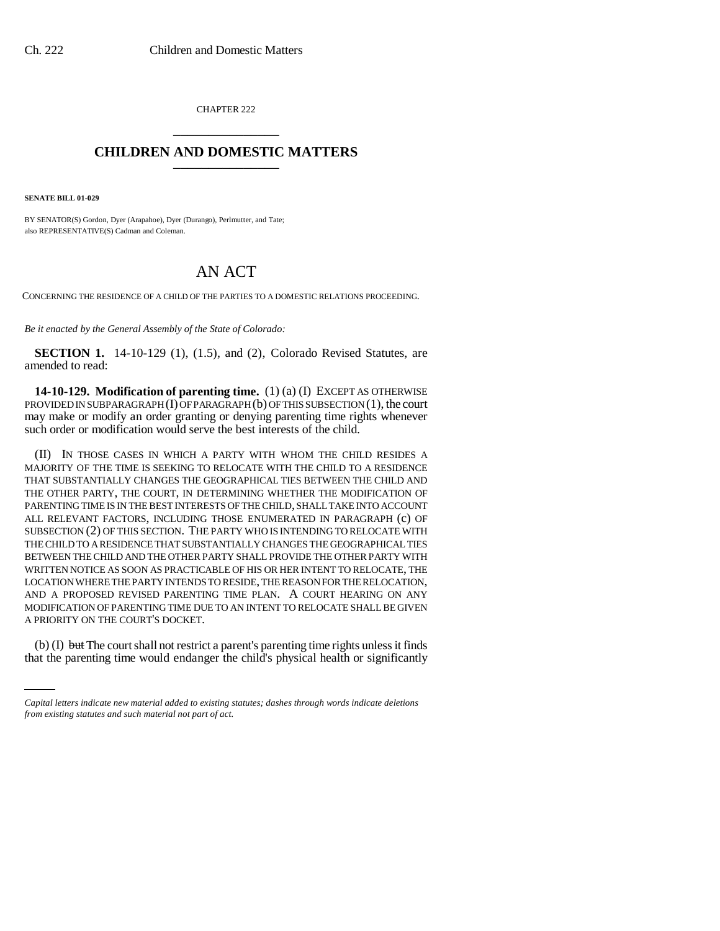CHAPTER 222 \_\_\_\_\_\_\_\_\_\_\_\_\_\_\_

## **CHILDREN AND DOMESTIC MATTERS** \_\_\_\_\_\_\_\_\_\_\_\_\_\_\_

**SENATE BILL 01-029**

BY SENATOR(S) Gordon, Dyer (Arapahoe), Dyer (Durango), Perlmutter, and Tate; also REPRESENTATIVE(S) Cadman and Coleman.

## AN ACT

CONCERNING THE RESIDENCE OF A CHILD OF THE PARTIES TO A DOMESTIC RELATIONS PROCEEDING.

*Be it enacted by the General Assembly of the State of Colorado:*

**SECTION 1.** 14-10-129 (1), (1.5), and (2), Colorado Revised Statutes, are amended to read:

**14-10-129. Modification of parenting time.** (1) (a) (I) EXCEPT AS OTHERWISE PROVIDED IN SUBPARAGRAPH (I) OF PARAGRAPH (b) OF THIS SUBSECTION (1), the court may make or modify an order granting or denying parenting time rights whenever such order or modification would serve the best interests of the child.

A PRIORITY ON THE COURT'S DOCKET. (II) IN THOSE CASES IN WHICH A PARTY WITH WHOM THE CHILD RESIDES A MAJORITY OF THE TIME IS SEEKING TO RELOCATE WITH THE CHILD TO A RESIDENCE THAT SUBSTANTIALLY CHANGES THE GEOGRAPHICAL TIES BETWEEN THE CHILD AND THE OTHER PARTY, THE COURT, IN DETERMINING WHETHER THE MODIFICATION OF PARENTING TIME IS IN THE BEST INTERESTS OF THE CHILD, SHALL TAKE INTO ACCOUNT ALL RELEVANT FACTORS, INCLUDING THOSE ENUMERATED IN PARAGRAPH (c) OF SUBSECTION (2) OF THIS SECTION. THE PARTY WHO IS INTENDING TO RELOCATE WITH THE CHILD TO A RESIDENCE THAT SUBSTANTIALLY CHANGES THE GEOGRAPHICAL TIES BETWEEN THE CHILD AND THE OTHER PARTY SHALL PROVIDE THE OTHER PARTY WITH WRITTEN NOTICE AS SOON AS PRACTICABLE OF HIS OR HER INTENT TO RELOCATE, THE LOCATION WHERE THE PARTY INTENDS TO RESIDE, THE REASON FOR THE RELOCATION, AND A PROPOSED REVISED PARENTING TIME PLAN. A COURT HEARING ON ANY MODIFICATION OF PARENTING TIME DUE TO AN INTENT TO RELOCATE SHALL BE GIVEN

(b) (I) but The court shall not restrict a parent's parenting time rights unless it finds that the parenting time would endanger the child's physical health or significantly

*Capital letters indicate new material added to existing statutes; dashes through words indicate deletions from existing statutes and such material not part of act.*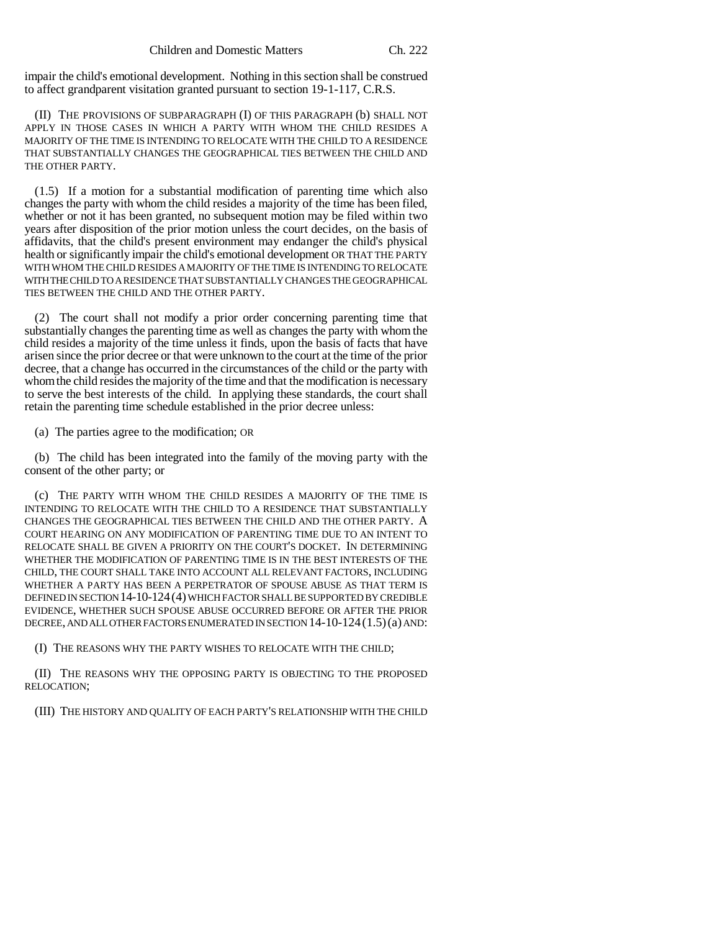impair the child's emotional development. Nothing in this section shall be construed to affect grandparent visitation granted pursuant to section 19-1-117, C.R.S.

(II) THE PROVISIONS OF SUBPARAGRAPH (I) OF THIS PARAGRAPH (b) SHALL NOT APPLY IN THOSE CASES IN WHICH A PARTY WITH WHOM THE CHILD RESIDES A MAJORITY OF THE TIME IS INTENDING TO RELOCATE WITH THE CHILD TO A RESIDENCE THAT SUBSTANTIALLY CHANGES THE GEOGRAPHICAL TIES BETWEEN THE CHILD AND THE OTHER PARTY.

(1.5) If a motion for a substantial modification of parenting time which also changes the party with whom the child resides a majority of the time has been filed, whether or not it has been granted, no subsequent motion may be filed within two years after disposition of the prior motion unless the court decides, on the basis of affidavits, that the child's present environment may endanger the child's physical health or significantly impair the child's emotional development OR THAT THE PARTY WITH WHOM THE CHILD RESIDES A MAJORITY OF THE TIME IS INTENDING TO RELOCATE WITH THE CHILD TO A RESIDENCE THAT SUBSTANTIALLY CHANGES THE GEOGRAPHICAL TIES BETWEEN THE CHILD AND THE OTHER PARTY.

(2) The court shall not modify a prior order concerning parenting time that substantially changes the parenting time as well as changes the party with whom the child resides a majority of the time unless it finds, upon the basis of facts that have arisen since the prior decree or that were unknown to the court at the time of the prior decree, that a change has occurred in the circumstances of the child or the party with whom the child resides the majority of the time and that the modification is necessary to serve the best interests of the child. In applying these standards, the court shall retain the parenting time schedule established in the prior decree unless:

(a) The parties agree to the modification; OR

(b) The child has been integrated into the family of the moving party with the consent of the other party; or

(c) THE PARTY WITH WHOM THE CHILD RESIDES A MAJORITY OF THE TIME IS INTENDING TO RELOCATE WITH THE CHILD TO A RESIDENCE THAT SUBSTANTIALLY CHANGES THE GEOGRAPHICAL TIES BETWEEN THE CHILD AND THE OTHER PARTY. A COURT HEARING ON ANY MODIFICATION OF PARENTING TIME DUE TO AN INTENT TO RELOCATE SHALL BE GIVEN A PRIORITY ON THE COURT'S DOCKET. IN DETERMINING WHETHER THE MODIFICATION OF PARENTING TIME IS IN THE BEST INTERESTS OF THE CHILD, THE COURT SHALL TAKE INTO ACCOUNT ALL RELEVANT FACTORS, INCLUDING WHETHER A PARTY HAS BEEN A PERPETRATOR OF SPOUSE ABUSE AS THAT TERM IS DEFINED IN SECTION 14-10-124(4) WHICH FACTOR SHALL BE SUPPORTED BY CREDIBLE EVIDENCE, WHETHER SUCH SPOUSE ABUSE OCCURRED BEFORE OR AFTER THE PRIOR DECREE, AND ALL OTHER FACTORS ENUMERATED IN SECTION 14-10-124(1.5)(a) AND:

(I) THE REASONS WHY THE PARTY WISHES TO RELOCATE WITH THE CHILD;

(II) THE REASONS WHY THE OPPOSING PARTY IS OBJECTING TO THE PROPOSED RELOCATION;

(III) THE HISTORY AND QUALITY OF EACH PARTY'S RELATIONSHIP WITH THE CHILD